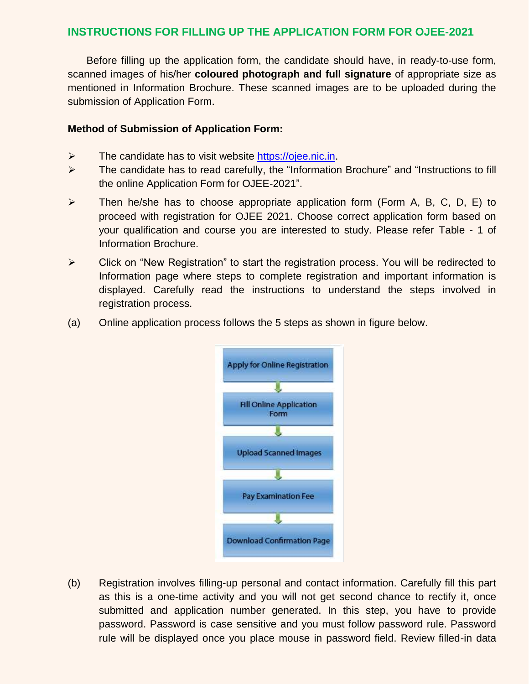## **INSTRUCTIONS FOR FILLING UP THE APPLICATION FORM FOR OJEE-2021**

Before filling up the application form, the candidate should have, in ready-to-use form, scanned images of his/her **coloured photograph and full signature** of appropriate size as mentioned in Information Brochure. These scanned images are to be uploaded during the submission of Application Form.

## **Method of Submission of Application Form:**

- $\triangleright$  The candidate has to visit website [https://ojee.nic.in.](https://ojee.nic.in/)
- $\triangleright$  The candidate has to read carefully, the "Information Brochure" and "Instructions to fill the online Application Form for OJEE-2021".
- $\triangleright$  Then he/she has to choose appropriate application form (Form A, B, C, D, E) to proceed with registration for OJEE 2021. Choose correct application form based on your qualification and course you are interested to study. Please refer Table - 1 of Information Brochure.
- $\triangleright$  Click on "New Registration" to start the registration process. You will be redirected to Information page where steps to complete registration and important information is displayed. Carefully read the instructions to understand the steps involved in registration process.
- (a) Online application process follows the 5 steps as shown in figure below.



(b) Registration involves filling-up personal and contact information. Carefully fill this part as this is a one-time activity and you will not get second chance to rectify it, once submitted and application number generated. In this step, you have to provide password. Password is case sensitive and you must follow password rule. Password rule will be displayed once you place mouse in password field. Review filled-in data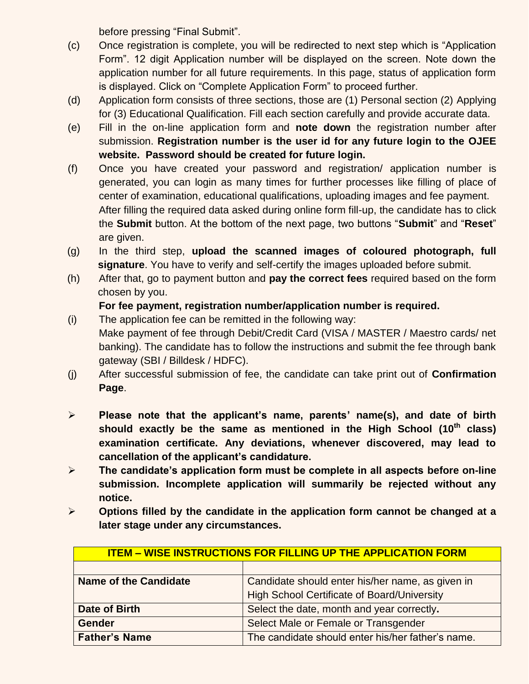before pressing "Final Submit".

- (c) Once registration is complete, you will be redirected to next step which is "Application Form". 12 digit Application number will be displayed on the screen. Note down the application number for all future requirements. In this page, status of application form is displayed. Click on "Complete Application Form" to proceed further.
- (d) Application form consists of three sections, those are (1) Personal section (2) Applying for (3) Educational Qualification. Fill each section carefully and provide accurate data.
- (e) Fill in the on-line application form and **note down** the registration number after submission. **Registration number is the user id for any future login to the OJEE website. Password should be created for future login.**
- (f) Once you have created your password and registration/ application number is generated, you can login as many times for further processes like filling of place of center of examination, educational qualifications, uploading images and fee payment. After filling the required data asked during online form fill-up, the candidate has to click the **Submit** button. At the bottom of the next page, two buttons "**Submit**" and "**Reset**" are given.
- (g) In the third step, **upload the scanned images of coloured photograph, full signature**. You have to verify and self-certify the images uploaded before submit.
- (h) After that, go to payment button and **pay the correct fees** required based on the form chosen by you.

## **For fee payment, registration number/application number is required.**

- (i) The application fee can be remitted in the following way: Make payment of fee through Debit/Credit Card (VISA / MASTER / Maestro cards/ net banking). The candidate has to follow the instructions and submit the fee through bank gateway (SBI / Billdesk / HDFC).
- (j) After successful submission of fee, the candidate can take print out of **Confirmation Page**.
- **Please note that the applicant's name, parents' name(s), and date of birth should exactly be the same as mentioned in the High School (10th class) examination certificate. Any deviations, whenever discovered, may lead to cancellation of the applicant's candidature.**
- **The candidate's application form must be complete in all aspects before on-line submission. Incomplete application will summarily be rejected without any notice.**
- **Options filled by the candidate in the application form cannot be changed at a later stage under any circumstances.**

| <b>ITEM - WISE INSTRUCTIONS FOR FILLING UP THE APPLICATION FORM</b> |                                                   |  |  |
|---------------------------------------------------------------------|---------------------------------------------------|--|--|
|                                                                     |                                                   |  |  |
| <b>Name of the Candidate</b>                                        | Candidate should enter his/her name, as given in  |  |  |
|                                                                     | High School Certificate of Board/University       |  |  |
| Date of Birth                                                       | Select the date, month and year correctly.        |  |  |
| <b>Gender</b>                                                       | Select Male or Female or Transgender              |  |  |
| <b>Father's Name</b>                                                | The candidate should enter his/her father's name. |  |  |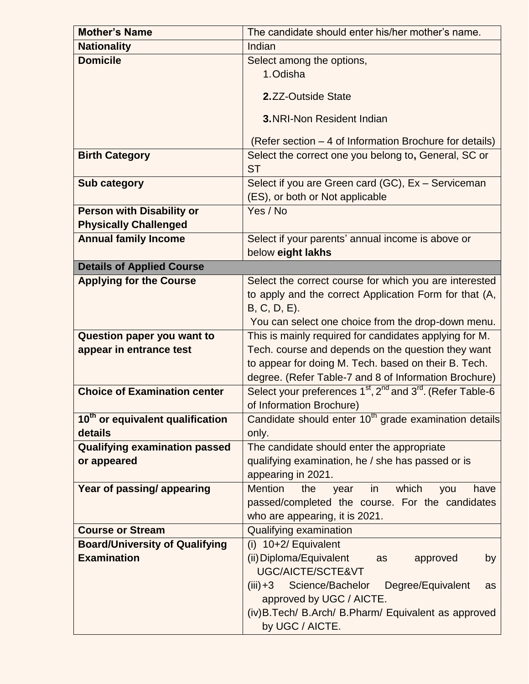| <b>Mother's Name</b>                         | The candidate should enter his/her mother's name.                 |  |  |
|----------------------------------------------|-------------------------------------------------------------------|--|--|
| <b>Nationality</b>                           | Indian                                                            |  |  |
| <b>Domicile</b>                              | Select among the options,                                         |  |  |
|                                              | 1. Odisha                                                         |  |  |
|                                              | 2.ZZ-Outside State                                                |  |  |
|                                              |                                                                   |  |  |
|                                              | <b>3.NRI-Non Resident Indian</b>                                  |  |  |
|                                              | (Refer section – 4 of Information Brochure for details)           |  |  |
| <b>Birth Category</b>                        | Select the correct one you belong to, General, SC or              |  |  |
|                                              | <b>ST</b>                                                         |  |  |
| <b>Sub category</b>                          | Select if you are Green card (GC), Ex - Serviceman                |  |  |
|                                              | (ES), or both or Not applicable                                   |  |  |
| <b>Person with Disability or</b>             | Yes / No                                                          |  |  |
| <b>Physically Challenged</b>                 |                                                                   |  |  |
| <b>Annual family Income</b>                  | Select if your parents' annual income is above or                 |  |  |
|                                              | below eight lakhs                                                 |  |  |
| <b>Details of Applied Course</b>             |                                                                   |  |  |
| <b>Applying for the Course</b>               | Select the correct course for which you are interested            |  |  |
|                                              | to apply and the correct Application Form for that (A,            |  |  |
|                                              | $B, C, D, E$ ).                                                   |  |  |
|                                              | You can select one choice from the drop-down menu.                |  |  |
| Question paper you want to                   | This is mainly required for candidates applying for M.            |  |  |
| appear in entrance test                      | Tech. course and depends on the question they want                |  |  |
|                                              | to appear for doing M. Tech. based on their B. Tech.              |  |  |
|                                              | degree. (Refer Table-7 and 8 of Information Brochure)             |  |  |
| <b>Choice of Examination center</b>          | Select your preferences $1st$ , $2nd$ and $3rd$ . (Refer Table-6  |  |  |
|                                              | of Information Brochure)                                          |  |  |
| 10 <sup>th</sup> or equivalent qualification | Candidate should enter 10 <sup>th</sup> grade examination details |  |  |
| details                                      | only.                                                             |  |  |
| <b>Qualifying examination passed</b>         | The candidate should enter the appropriate                        |  |  |
| or appeared                                  | qualifying examination, he / she has passed or is                 |  |  |
|                                              | appearing in 2021.                                                |  |  |
| Year of passing/appearing                    | <b>Mention</b><br>which<br>the<br>year<br>have<br>in<br>you       |  |  |
|                                              | passed/completed the course. For the candidates                   |  |  |
|                                              | who are appearing, it is 2021.                                    |  |  |
| <b>Course or Stream</b>                      | Qualifying examination                                            |  |  |
| <b>Board/University of Qualifying</b>        | $(i)$ 10+2/ Equivalent                                            |  |  |
| <b>Examination</b>                           | (ii) Diploma/Equivalent<br>approved<br>by<br>as                   |  |  |
|                                              | UGC/AICTE/SCTE&VT                                                 |  |  |
|                                              | Science/Bachelor<br>Degree/Equivalent<br>$(iii) +3$<br>as         |  |  |
|                                              | approved by UGC / AICTE.                                          |  |  |
|                                              | (iv) B. Tech/ B. Arch/ B. Pharm/ Equivalent as approved           |  |  |
|                                              | by UGC / AICTE.                                                   |  |  |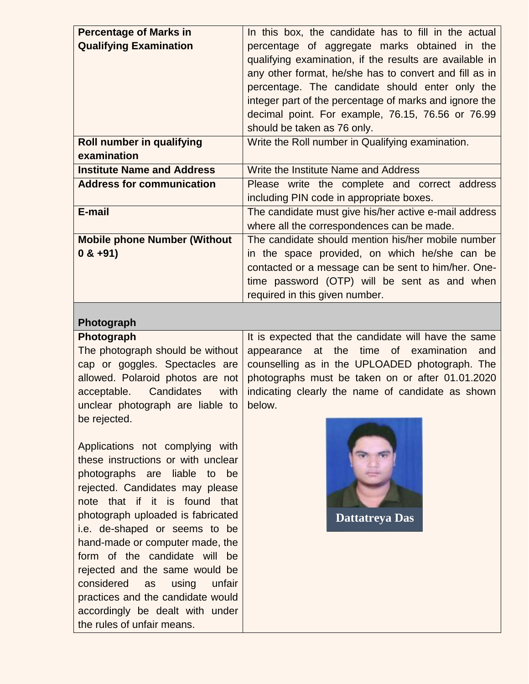| <b>Percentage of Marks in</b>       | In this box, the candidate has to fill in the actual                                                                                                                                                                                                                                                                                                                |  |
|-------------------------------------|---------------------------------------------------------------------------------------------------------------------------------------------------------------------------------------------------------------------------------------------------------------------------------------------------------------------------------------------------------------------|--|
| <b>Qualifying Examination</b>       | percentage of aggregate marks obtained in the<br>qualifying examination, if the results are available in<br>any other format, he/she has to convert and fill as in<br>percentage. The candidate should enter only the<br>integer part of the percentage of marks and ignore the<br>decimal point. For example, 76.15, 76.56 or 76.99<br>should be taken as 76 only. |  |
| Roll number in qualifying           | Write the Roll number in Qualifying examination.                                                                                                                                                                                                                                                                                                                    |  |
| examination                         |                                                                                                                                                                                                                                                                                                                                                                     |  |
| <b>Institute Name and Address</b>   | Write the Institute Name and Address                                                                                                                                                                                                                                                                                                                                |  |
| <b>Address for communication</b>    | Please write the complete and correct address<br>including PIN code in appropriate boxes.                                                                                                                                                                                                                                                                           |  |
| E-mail                              | The candidate must give his/her active e-mail address                                                                                                                                                                                                                                                                                                               |  |
|                                     | where all the correspondences can be made.                                                                                                                                                                                                                                                                                                                          |  |
| <b>Mobile phone Number (Without</b> | The candidate should mention his/her mobile number                                                                                                                                                                                                                                                                                                                  |  |
| $0 & +91$                           | in the space provided, on which he/she can be                                                                                                                                                                                                                                                                                                                       |  |
|                                     | contacted or a message can be sent to him/her. One-                                                                                                                                                                                                                                                                                                                 |  |
|                                     | time password (OTP) will be sent as and when                                                                                                                                                                                                                                                                                                                        |  |
|                                     | required in this given number.                                                                                                                                                                                                                                                                                                                                      |  |

## **Photograph**

**Photograph** The photograph should be without cap or goggles. Spectacles are allowed. Polaroid photos are not acceptable. Candidates with unclear photograph are liable to be rejected.

Applications not complying with these instructions or with unclear photographs are liable to be rejected. Candidates may please note that if it is found that photograph uploaded is fabricated i.e. de-shaped or seems to be hand-made or computer made, the form of the candidate will be rejected and the same would be considered as using unfair practices and the candidate would accordingly be dealt with under the rules of unfair means.

It is expected that the candidate will have the same appearance at the time of examination and counselling as in the UPLOADED photograph. The photographs must be taken on or after 01.01.2020 indicating clearly the name of candidate as shown below.



**Dattatreya Das**